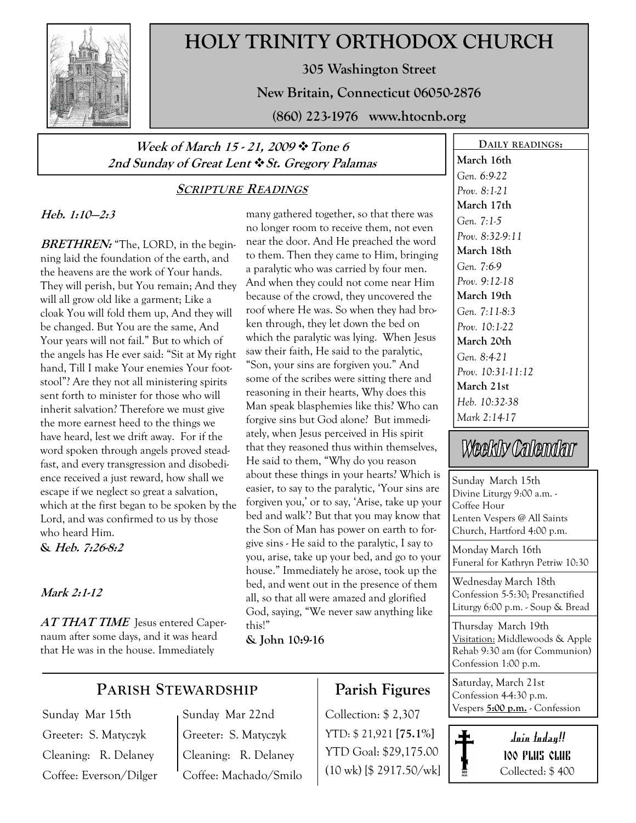

# HOLY TRINITY ORTHODOX CHURCH

305 Washington Street

New Britain, Connecticut 06050-2876

(860) 223-1976 www.htocnb.org

### Week of March 15 - 21, 2009 \* Tone 6 2nd Sunday of Great Lent  $\cdot$  St. Gregory Palamas

### SCRIPTURE READINGS

### Heb. 1:10—2:3

**BRETHREN:** "The, LORD, in the beginning laid the foundation of the earth, and the heavens are the work of Your hands. They will perish, but You remain; And they will all grow old like a garment; Like a cloak You will fold them up, And they will be changed. But You are the same, And Your years will not fail." But to which of the angels has He ever said: "Sit at My right hand, Till I make Your enemies Your footstool"? Are they not all ministering spirits sent forth to minister for those who will inherit salvation? Therefore we must give the more earnest heed to the things we have heard, lest we drift away. For if the word spoken through angels proved steadfast, and every transgression and disobedience received a just reward, how shall we escape if we neglect so great a salvation, which at the first began to be spoken by the Lord, and was confirmed to us by those who heard Him.

& Heb. 7:26-8:2

### Mark 2:1-12

AT THAT TIME Jesus entered Capernaum after some days, and it was heard that He was in the house. Immediately

many gathered together, so that there was no longer room to receive them, not even near the door. And He preached the word to them. Then they came to Him, bringing a paralytic who was carried by four men. And when they could not come near Him because of the crowd, they uncovered the roof where He was. So when they had broken through, they let down the bed on which the paralytic was lying. When Jesus saw their faith, He said to the paralytic, "Son, your sins are forgiven you." And some of the scribes were sitting there and reasoning in their hearts, Why does this Man speak blasphemies like this? Who can forgive sins but God alone? But immediately, when Jesus perceived in His spirit that they reasoned thus within themselves, He said to them, "Why do you reason about these things in your hearts? Which is easier, to say to the paralytic, 'Your sins are forgiven you,' or to say, 'Arise, take up your bed and walk'? But that you may know that the Son of Man has power on earth to forgive sins - He said to the paralytic, I say to you, arise, take up your bed, and go to your house." Immediately he arose, took up the bed, and went out in the presence of them all, so that all were amazed and glorified God, saying, "We never saw anything like this!"

& John 10:9-16

### March 16th Gen. 6:9-22 Prov. 8:1-21 March 17th Gen. 7:1-5 Prov. 8:32-9:11 March 18th Gen. 7:6-9 Prov. 9:12-18 March 19th Gen. 7:11-8:3 Prov. 10:1-22 March 20th Gen. 8:4-21 Prov. 10:31-11:12 March 21st Heb. 10:32-38

DAILY READINGS:

# Weekly Calendar

Mark 2:14-17

Sunday March 15th Divine Liturgy 9:00 a.m. - Coffee Hour Lenten Vespers @ All Saints Church, Hartford 4:00 p.m.

Monday March 16th Funeral for Kathryn Petriw 10:30

Wednesday March 18th Confession 5-5:30; Presanctified Liturgy 6:00 p.m. - Soup & Bread

Thursday March 19th Visitation: Middlewoods & Apple Rehab 9:30 am (for Communion) Confession 1:00 p.m.

Saturday, March 21st Confession 4-4:30 p.m. Vespers 5:00 p.m. - Confession



### PARISH STEWARDSHIP

Sunday Mar 15th Greeter: S. Matyczyk Cleaning: R. Delaney Coffee: Everson/Dilger Sunday Mar 22nd Greeter: S. Matyczyk Cleaning: R. Delaney Coffee: Machado/Smilo

## Parish Figures

Collection: \$ 2,307 YTD: \$ 21,921 [75.1%] YTD Goal: \$29,175.00 (10 wk) [\$ 2917.50/wk]